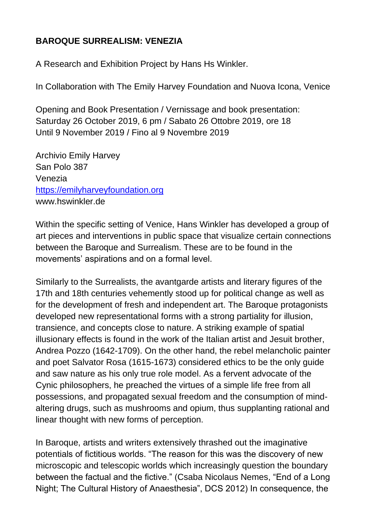## **BAROQUE SURREALISM: VENEZIA**

A Research and Exhibition Project by Hans Hs Winkler.

In Collaboration with The Emily Harvey Foundation and Nuova Icona, Venice

Opening and Book Presentation / Vernissage and book presentation: Saturday 26 October 2019, 6 pm / Sabato 26 Ottobre 2019, ore 18 Until 9 November 2019 / Fino al 9 Novembre 2019

Archivio Emily Harvey San Polo 387 Venezia [https://emilyharveyfoundation.org](https://emilyharveyfoundation.org/) www.hswinkler.de

Within the specific setting of Venice, Hans Winkler has developed a group of art pieces and interventions in public space that visualize certain connections between the Baroque and Surrealism. These are to be found in the movements' aspirations and on a formal level.

Similarly to the Surrealists, the avantgarde artists and literary figures of the 17th and 18th centuries vehemently stood up for political change as well as for the development of fresh and independent art. The Baroque protagonists developed new representational forms with a strong partiality for illusion, transience, and concepts close to nature. A striking example of spatial illusionary effects is found in the work of the Italian artist and Jesuit brother, Andrea Pozzo (1642-1709). On the other hand, the rebel melancholic painter and poet Salvator Rosa (1615-1673) considered ethics to be the only guide and saw nature as his only true role model. As a fervent advocate of the Cynic philosophers, he preached the virtues of a simple life free from all possessions, and propagated sexual freedom and the consumption of mindaltering drugs, such as mushrooms and opium, thus supplanting rational and linear thought with new forms of perception.

In Baroque, artists and writers extensively thrashed out the imaginative potentials of fictitious worlds. "The reason for this was the discovery of new microscopic and telescopic worlds which increasingly question the boundary between the factual and the fictive." (Csaba Nicolaus Nemes, "End of a Long Night; The Cultural History of Anaesthesia", DCS 2012) In consequence, the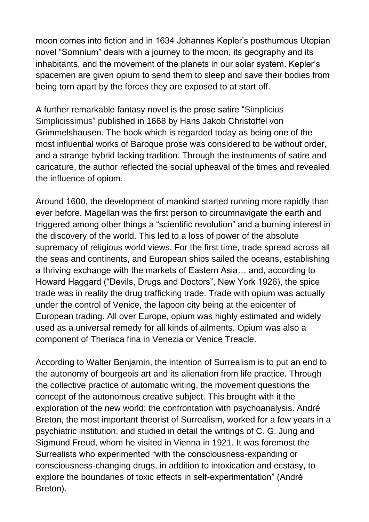moon comes into fiction and in 1634 Johannes Kepler's posthumous Utopian novel "Somnium" deals with a journey to the moon, its geography and its inhabitants, and the movement of the planets in our solar system. Kepler's spacemen are given opium to send them to sleep and save their bodies from being torn apart by the forces they are exposed to at start off.

A further remarkable fantasy novel is the prose satire "Simplicius Simplicissimus" published in 1668 by Hans Jakob Christoffel von Grimmelshausen. The book which is regarded today as being one of the most influential works of Baroque prose was considered to be without order, and a strange hybrid lacking tradition. Through the instruments of satire and caricature, the author reflected the social upheaval of the times and revealed the influence of opium.

Around 1600, the development of mankind started running more rapidly than ever before. Magellan was the first person to circumnavigate the earth and triggered among other things a "scientific revolution" and a burning interest in the discovery of the world. This led to a loss of power of the absolute supremacy of religious world views. For the first time, trade spread across all the seas and continents, and European ships sailed the oceans, establishing a thriving exchange with the markets of Eastern Asia… and, according to Howard Haggard ("Devils, Drugs and Doctors", New York 1926), the spice trade was in reality the drug trafficking trade. Trade with opium was actually under the control of Venice, the lagoon city being at the epicenter of European trading. All over Europe, opium was highly estimated and widely used as a universal remedy for all kinds of ailments. Opium was also a component of Theriaca fina in Venezia or Venice Treacle.

According to Walter Benjamin, the intention of Surrealism is to put an end to the autonomy of bourgeois art and its alienation from life practice. Through the collective practice of automatic writing, the movement questions the concept of the autonomous creative subject. This brought with it the exploration of the new world: the confrontation with psychoanalysis. André Breton, the most important theorist of Surrealism, worked for a few years in a psychiatric institution, and studied in detail the writings of C. G. Jung and Sigmund Freud, whom he visited in Vienna in 1921. It was foremost the Surrealists who experimented "with the consciousness-expanding or consciousness-changing drugs, in addition to intoxication and ecstasy, to explore the boundaries of toxic effects in self-experimentation" (André Breton).